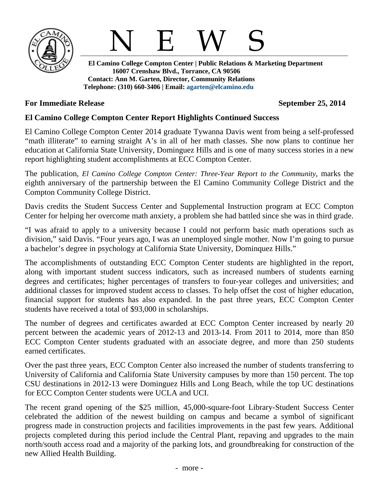



 **El Camino College Compton Center | Public Relations & Marketing Department 16007 Crenshaw Blvd., Torrance, CA 90506 Contact: Ann M. Garten, Director, Community Relations Telephone: (310) 660-3406 | Email: [agarten@elcamino.edu](mailto:agarten@elcamino.edu)** 

## **For Immediate Release September 25, 2014**

## **El Camino College Compton Center Report Highlights Continued Success**

El Camino College Compton Center 2014 graduate Tywanna Davis went from being a self-professed "math illiterate" to earning straight A's in all of her math classes. She now plans to continue her education at California State University, Dominguez Hills and is one of many success stories in a new report highlighting student accomplishments at ECC Compton Center.

The publication, *[El Camino College Compton Center: Three-Year Report to the Community,](http://www.elcamino.edu/administration/publicrelations/docs/CEC-Three-Year-Report-2014.pdf)* marks the eighth anniversary of the partnership between the El Camino Community College District and the Compton Community College District.

Davis credits the Student Success Center and Supplemental Instruction program at ECC Compton Center for helping her overcome math anxiety, a problem she had battled since she was in third grade.

"I was afraid to apply to a university because I could not perform basic math operations such as division," said Davis. "Four years ago, I was an unemployed single mother. Now I'm going to pursue a bachelor's degree in psychology at California State University, Dominquez Hills."

The accomplishments of outstanding ECC Compton Center students are highlighted in the report, along with important student success indicators, such as increased numbers of students earning degrees and certificates; higher percentages of transfers to four-year colleges and universities; and additional classes for improved student access to classes. To help offset the cost of higher education, financial support for students has also expanded. In the past three years, ECC Compton Center students have received a total of \$93,000 in scholarships.

The number of degrees and certificates awarded at ECC Compton Center increased by nearly 20 percent between the academic years of 2012-13 and 2013-14. From 2011 to 2014, more than 850 ECC Compton Center students graduated with an associate degree, and more than 250 students earned certificates.

Over the past three years, ECC Compton Center also increased the number of students transferring to University of California and California State University campuses by more than 150 percent. The top CSU destinations in 2012-13 were Dominguez Hills and Long Beach, while the top UC destinations for ECC Compton Center students were UCLA and UCI.

The recent grand opening of the \$25 million, 45,000-square-foot Library-Student Success Center celebrated the addition of the newest building on campus and became a symbol of significant progress made in construction projects and facilities improvements in the past few years. Additional projects completed during this period include the Central Plant, repaving and upgrades to the main north/south access road and a majority of the parking lots, and groundbreaking for construction of the new Allied Health Building.